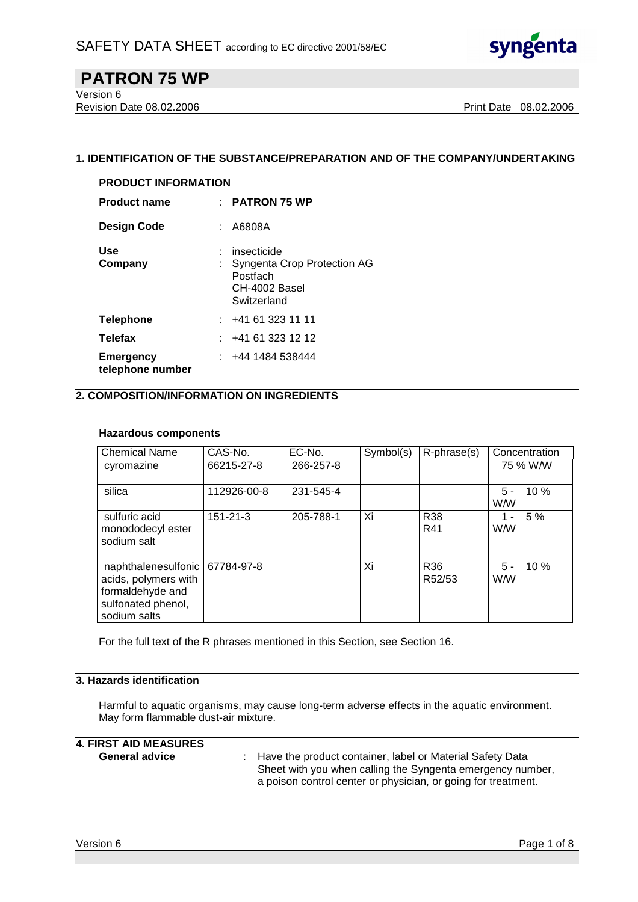

Version 6 Revision Date 08.02.2006 **Print Date 08.02.2006** Print Date 08.02.2006

### **1. IDENTIFICATION OF THE SUBSTANCE/PREPARATION AND OF THE COMPANY/UNDERTAKING**

| <b>PRODUCT INFORMATION</b>           |  |                                                                                          |  |  |  |  |
|--------------------------------------|--|------------------------------------------------------------------------------------------|--|--|--|--|
| <b>Product name</b>                  |  | $\pm$ PATRON 75 WP                                                                       |  |  |  |  |
| <b>Design Code</b>                   |  | : A6808A                                                                                 |  |  |  |  |
| Use<br>Company                       |  | insecticide<br>: Syngenta Crop Protection AG<br>Postfach<br>CH-4002 Basel<br>Switzerland |  |  |  |  |
| <b>Telephone</b>                     |  | : 441613231111                                                                           |  |  |  |  |
| <b>Telefax</b>                       |  | : 441613231212                                                                           |  |  |  |  |
| <b>Emergency</b><br>telephone number |  | : 4441484538444                                                                          |  |  |  |  |

## **2. COMPOSITION/INFORMATION ON INGREDIENTS**

#### **Hazardous components**

| <b>Chemical Name</b>                                                                                  | CAS-No.        | EC-No.    | Symbol(s) | R-phrase(s)   | Concentration               |
|-------------------------------------------------------------------------------------------------------|----------------|-----------|-----------|---------------|-----------------------------|
| cyromazine                                                                                            | 66215-27-8     | 266-257-8 |           |               | 75 % W/W                    |
| silica                                                                                                | 112926-00-8    | 231-545-4 |           |               | $10\%$<br>5 -<br><b>W/W</b> |
| sulfuric acid<br>monododecyl ester<br>sodium salt                                                     | $151 - 21 - 3$ | 205-788-1 | Xi        | R38<br>R41    | 5%<br>1 -<br><b>W/W</b>     |
| naphthalenesulfonic<br>acids, polymers with<br>formaldehyde and<br>sulfonated phenol,<br>sodium salts | 67784-97-8     |           | Xi        | R36<br>R52/53 | 10%<br>5 -<br><b>W/W</b>    |

For the full text of the R phrases mentioned in this Section, see Section 16.

#### **3. Hazards identification**

Harmful to aquatic organisms, may cause long-term adverse effects in the aquatic environment. May form flammable dust-air mixture.

## **4. FIRST AID MEASURES**

**General advice** : Have the product container, label or Material Safety Data Sheet with you when calling the Syngenta emergency number, a poison control center or physician, or going for treatment.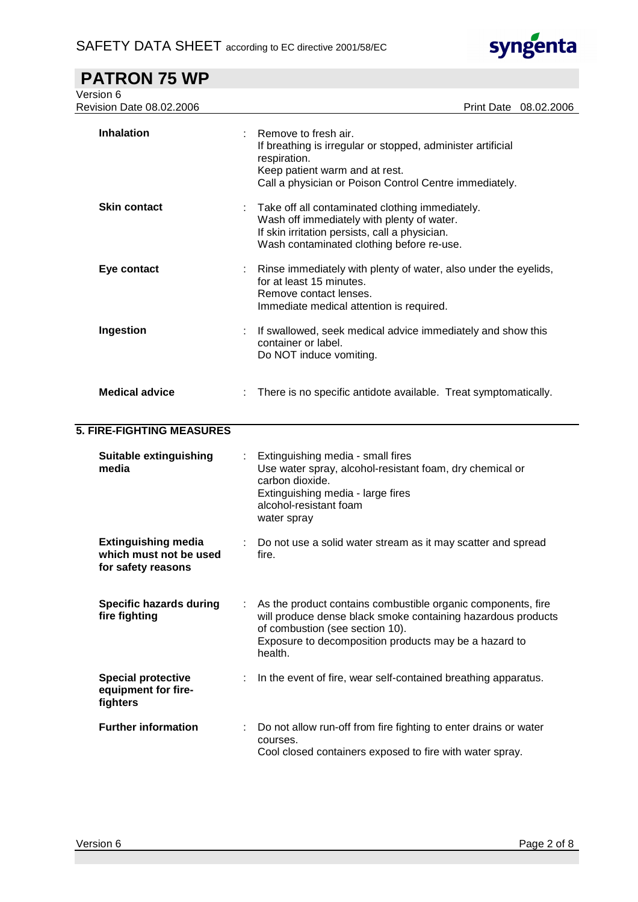

| <b>PATRON 75 WP</b>                                                        |                                                                                                                                                                                                                                     |
|----------------------------------------------------------------------------|-------------------------------------------------------------------------------------------------------------------------------------------------------------------------------------------------------------------------------------|
| Version 6<br>Revision Date 08.02.2006                                      | <b>Print Date</b><br>08.02.2006                                                                                                                                                                                                     |
| <b>Inhalation</b>                                                          | Remove to fresh air.<br>If breathing is irregular or stopped, administer artificial<br>respiration.<br>Keep patient warm and at rest.<br>Call a physician or Poison Control Centre immediately.                                     |
| <b>Skin contact</b>                                                        | Take off all contaminated clothing immediately.<br>Wash off immediately with plenty of water.<br>If skin irritation persists, call a physician.<br>Wash contaminated clothing before re-use.                                        |
| Eye contact                                                                | Rinse immediately with plenty of water, also under the eyelids,<br>for at least 15 minutes.<br>Remove contact lenses.<br>Immediate medical attention is required.                                                                   |
| Ingestion                                                                  | If swallowed, seek medical advice immediately and show this<br>container or label.<br>Do NOT induce vomiting.                                                                                                                       |
| <b>Medical advice</b>                                                      | There is no specific antidote available. Treat symptomatically.                                                                                                                                                                     |
| <b>5. FIRE-FIGHTING MEASURES</b>                                           |                                                                                                                                                                                                                                     |
| Suitable extinguishing<br>media                                            | Extinguishing media - small fires<br>Use water spray, alcohol-resistant foam, dry chemical or<br>carbon dioxide.<br>Extinguishing media - large fires<br>alcohol-resistant foam<br>water spray                                      |
| <b>Extinguishing media</b><br>which must not be used<br>for safety reasons | Do not use a solid water stream as it may scatter and spread<br>fire.                                                                                                                                                               |
| <b>Specific hazards during</b><br>fire fighting                            | As the product contains combustible organic components, fire<br>will produce dense black smoke containing hazardous products<br>of combustion (see section 10).<br>Exposure to decomposition products may be a hazard to<br>health. |
| <b>Special protective</b><br>equipment for fire-<br>fighters               | In the event of fire, wear self-contained breathing apparatus.                                                                                                                                                                      |
| <b>Further information</b>                                                 | Do not allow run-off from fire fighting to enter drains or water<br>courses.<br>Cool closed containers exposed to fire with water spray.                                                                                            |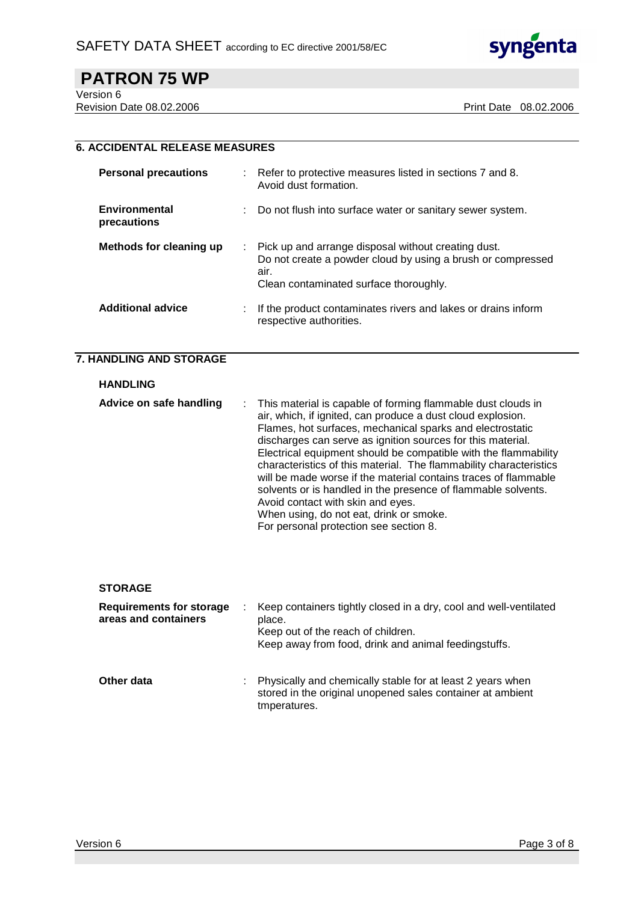

Version 6

Revision Date 08.02.2006 Print Date 08.02.2006

## **6. ACCIDENTAL RELEASE MEASURES**

| <b>Personal precautions</b>         | : Refer to protective measures listed in sections 7 and 8.<br>Avoid dust formation.                                                                                    |
|-------------------------------------|------------------------------------------------------------------------------------------------------------------------------------------------------------------------|
| <b>Environmental</b><br>precautions | Do not flush into surface water or sanitary sewer system.                                                                                                              |
| Methods for cleaning up             | : Pick up and arrange disposal without creating dust.<br>Do not create a powder cloud by using a brush or compressed<br>air.<br>Clean contaminated surface thoroughly. |
| <b>Additional advice</b>            | If the product contaminates rivers and lakes or drains inform<br>respective authorities.                                                                               |

#### **7. HANDLING AND STORAGE**

| <b>HANDLING</b>         |                                                                                                                                                                                                                                                                                                                                                                                                                                                                                                                                                                                                                                                                  |
|-------------------------|------------------------------------------------------------------------------------------------------------------------------------------------------------------------------------------------------------------------------------------------------------------------------------------------------------------------------------------------------------------------------------------------------------------------------------------------------------------------------------------------------------------------------------------------------------------------------------------------------------------------------------------------------------------|
| Advice on safe handling | : This material is capable of forming flammable dust clouds in<br>air, which, if ignited, can produce a dust cloud explosion.<br>Flames, hot surfaces, mechanical sparks and electrostatic<br>discharges can serve as ignition sources for this material.<br>Electrical equipment should be compatible with the flammability<br>characteristics of this material. The flammability characteristics<br>will be made worse if the material contains traces of flammable<br>solvents or is handled in the presence of flammable solvents.<br>Avoid contact with skin and eyes.<br>When using, do not eat, drink or smoke.<br>For personal protection see section 8. |

#### **STORAGE**

| <b>Requirements for storage</b><br>areas and containers | Keep containers tightly closed in a dry, cool and well-ventilated<br>place.<br>Keep out of the reach of children.<br>Keep away from food, drink and animal feedingstuffs. |
|---------------------------------------------------------|---------------------------------------------------------------------------------------------------------------------------------------------------------------------------|
| Other data                                              | Physically and chemically stable for at least 2 years when<br>stored in the original unopened sales container at ambient<br>tmperatures.                                  |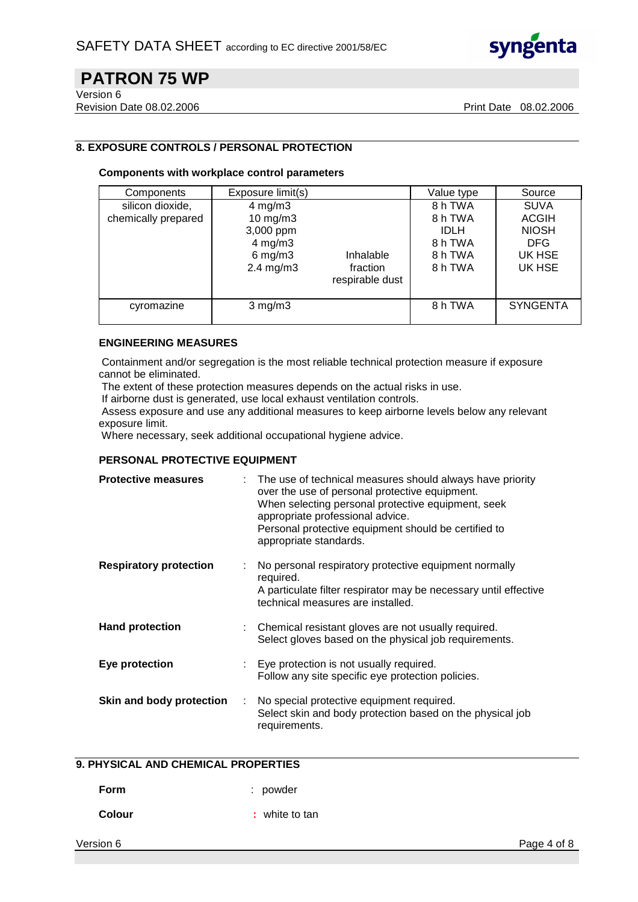

Version 6

Revision Date 08.02.2006 **Print Date 08.02.2006** Print Date 08.02.2006

## **8. EXPOSURE CONTROLS / PERSONAL PROTECTION**

#### **Components with workplace control parameters**

| Components                              | Exposure limit(s)                                                                                  |                                          | Value type                                                         | Source                                                                        |
|-----------------------------------------|----------------------------------------------------------------------------------------------------|------------------------------------------|--------------------------------------------------------------------|-------------------------------------------------------------------------------|
| silicon dioxide,<br>chemically prepared | $4$ mg/m $3$<br>$10$ mg/m $3$<br>3,000 ppm<br>$4$ mg/m $3$<br>$6$ mg/m $3$<br>$2.4 \text{ mg/m}$ 3 | Inhalable<br>fraction<br>respirable dust | 8 h TWA<br>8 h TWA<br><b>IDLH</b><br>8 h TWA<br>8 h TWA<br>8 h TWA | <b>SUVA</b><br><b>ACGIH</b><br><b>NIOSH</b><br><b>DFG</b><br>UK HSE<br>UK HSE |
| cyromazine                              | $3$ mg/m $3$                                                                                       |                                          | 8 h TWA                                                            | <b>SYNGENTA</b>                                                               |

#### **ENGINEERING MEASURES**

 Containment and/or segregation is the most reliable technical protection measure if exposure cannot be eliminated.

The extent of these protection measures depends on the actual risks in use.

If airborne dust is generated, use local exhaust ventilation controls.

 Assess exposure and use any additional measures to keep airborne levels below any relevant exposure limit.

Where necessary, seek additional occupational hygiene advice.

### **PERSONAL PROTECTIVE EQUIPMENT**

| <b>Protective measures</b>    |   | The use of technical measures should always have priority<br>over the use of personal protective equipment.<br>When selecting personal protective equipment, seek<br>appropriate professional advice.<br>Personal protective equipment should be certified to<br>appropriate standards. |
|-------------------------------|---|-----------------------------------------------------------------------------------------------------------------------------------------------------------------------------------------------------------------------------------------------------------------------------------------|
| <b>Respiratory protection</b> |   | No personal respiratory protective equipment normally<br>required.<br>A particulate filter respirator may be necessary until effective<br>technical measures are installed.                                                                                                             |
| <b>Hand protection</b>        | ÷ | Chemical resistant gloves are not usually required.<br>Select gloves based on the physical job requirements.                                                                                                                                                                            |
| Eye protection                |   | : Eye protection is not usually required.<br>Follow any site specific eye protection policies.                                                                                                                                                                                          |
| Skin and body protection      | ÷ | No special protective equipment required.<br>Select skin and body protection based on the physical job<br>requirements.                                                                                                                                                                 |

## **9. PHYSICAL AND CHEMICAL PROPERTIES**

**Form** : powder

**Colour** : white to tan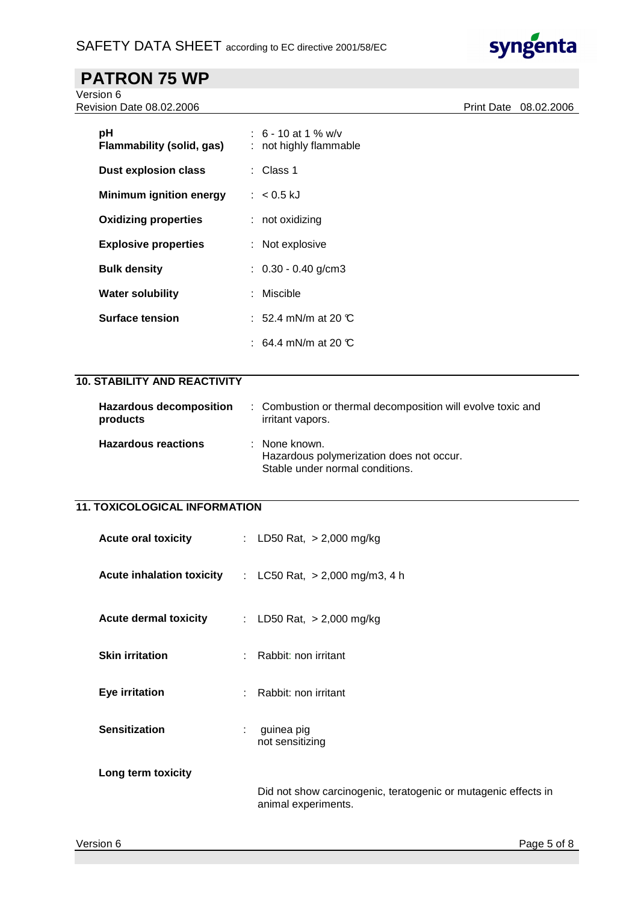

Version 6 Revision Date 08.02.2006 **Print Date 08.02.2006** 

| рH<br>Flammability (solid, gas) | : 6 - 10 at 1 % w/v<br>: not highly flammable |
|---------------------------------|-----------------------------------------------|
| Dust explosion class            | : Class 1                                     |
| <b>Minimum ignition energy</b>  | $: 60.5 \text{ kJ}$                           |
| <b>Oxidizing properties</b>     | $:$ not oxidizing                             |
| <b>Explosive properties</b>     | $:$ Not explosive                             |
| <b>Bulk density</b>             | $\therefore$ 0.30 - 0.40 g/cm3                |
| <b>Water solubility</b>         | : Miscible                                    |
| <b>Surface tension</b>          | : 52.4 mN/m at 20 $\mathbb C$                 |
|                                 | : 64.4 mN/m at 20 $\mathbb C$                 |

## **10. STABILITY AND REACTIVITY**

| <b>Hazardous decomposition</b><br>products | : Combustion or thermal decomposition will evolve toxic and<br>irritant vapors.              |
|--------------------------------------------|----------------------------------------------------------------------------------------------|
| <b>Hazardous reactions</b>                 | : None known.<br>Hazardous polymerization does not occur.<br>Stable under normal conditions. |

## **11. TOXICOLOGICAL INFORMATION**

| <b>Acute oral toxicity</b>       |   | : LD50 Rat, $> 2,000$ mg/kg                                                           |
|----------------------------------|---|---------------------------------------------------------------------------------------|
| <b>Acute inhalation toxicity</b> |   | : LC50 Rat, $> 2,000$ mg/m3, 4 h                                                      |
| <b>Acute dermal toxicity</b>     |   | : LD50 Rat, $> 2,000$ mg/kg                                                           |
| <b>Skin irritation</b>           |   | : Rabbit: non irritant                                                                |
| <b>Eye irritation</b>            |   | Rabbit: non irritant                                                                  |
| <b>Sensitization</b>             | ÷ | guinea pig<br>not sensitizing                                                         |
| Long term toxicity               |   |                                                                                       |
|                                  |   | Did not show carcinogenic, teratogenic or mutagenic effects in<br>animal experiments. |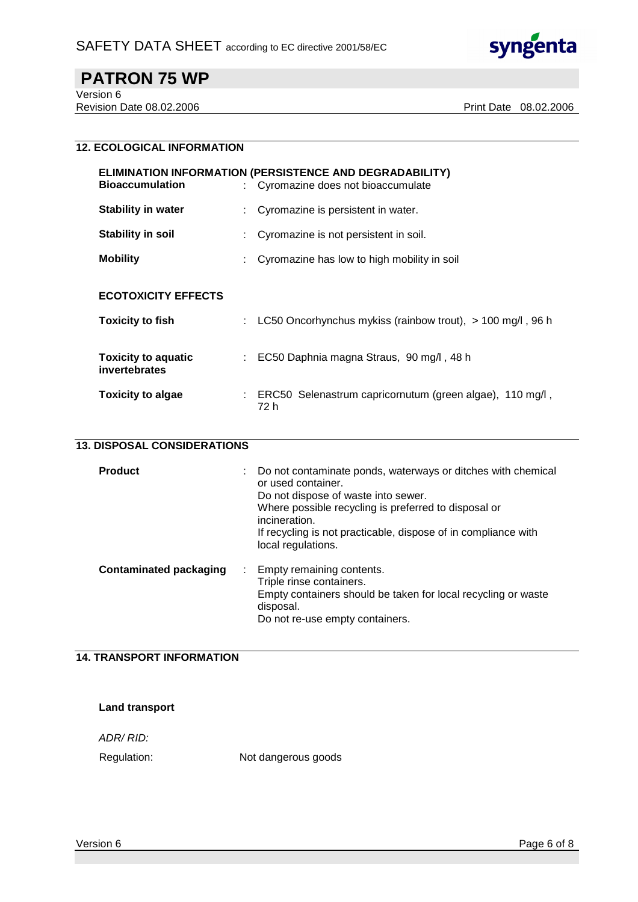

Version 6 Revision Date 08.02.2006 Print Date 08.02.2006

## **12. ECOLOGICAL INFORMATION**

| <b>ELIMINATION INFORMATION (PERSISTENCE AND DEGRADABILITY)</b><br><b>Bioaccumulation</b><br>: Cyromazine does not bioaccumulate |                         |                                                                  |  |
|---------------------------------------------------------------------------------------------------------------------------------|-------------------------|------------------------------------------------------------------|--|
| <b>Stability in water</b>                                                                                                       |                         | Cyromazine is persistent in water.                               |  |
| Stability in soil                                                                                                               |                         | Cyromazine is not persistent in soil.                            |  |
| <b>Mobility</b>                                                                                                                 |                         | Cyromazine has low to high mobility in soil                      |  |
| <b>ECOTOXICITY EFFECTS</b>                                                                                                      |                         |                                                                  |  |
| <b>Toxicity to fish</b>                                                                                                         |                         | LC50 Oncorhynchus mykiss (rainbow trout), $> 100$ mg/l, 96 h     |  |
| <b>Toxicity to aquatic</b><br>invertebrates                                                                                     |                         | EC50 Daphnia magna Straus, 90 mg/l, 48 h                         |  |
| <b>Toxicity to algae</b>                                                                                                        | $\mathbb{Z}^{\times}$ . | ERC50 Selenastrum capricornutum (green algae), 110 mg/l,<br>72 h |  |

| <b>Product</b>                | Do not contaminate ponds, waterways or ditches with chemical<br>or used container.<br>Do not dispose of waste into sewer.<br>Where possible recycling is preferred to disposal or<br>incineration.<br>If recycling is not practicable, dispose of in compliance with<br>local regulations. |
|-------------------------------|--------------------------------------------------------------------------------------------------------------------------------------------------------------------------------------------------------------------------------------------------------------------------------------------|
| <b>Contaminated packaging</b> | Empty remaining contents.<br>÷<br>Triple rinse containers.<br>Empty containers should be taken for local recycling or waste<br>disposal.<br>Do not re-use empty containers.                                                                                                                |

## **14. TRANSPORT INFORMATION**

#### **Land transport**

ADR/ RID:

Regulation: Not dangerous goods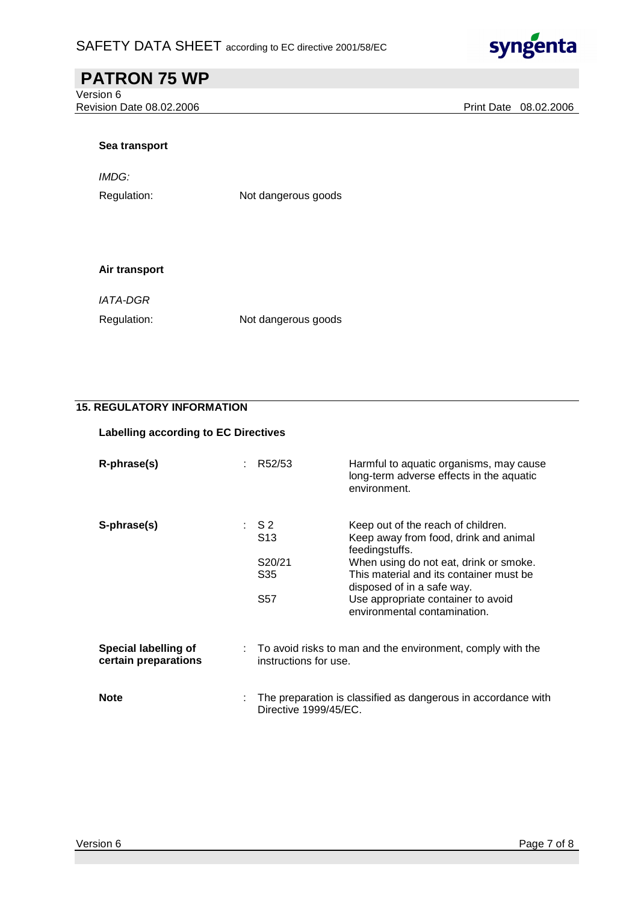

Version 6 Revision Date 08.02.2006 Print Date 08.02.2006

#### **Sea transport**

IMDG:

Regulation: Not dangerous goods

#### **Air transport**

IATA-DGR

Regulation: Not dangerous goods

## **15. REGULATORY INFORMATION**

### **Labelling according to EC Directives**

| R-phrase(s)                                         | R52/53                                                                                | Harmful to aquatic organisms, may cause<br>long-term adverse effects in the aquatic<br>environment.                                                                                                                                                                                    |
|-----------------------------------------------------|---------------------------------------------------------------------------------------|----------------------------------------------------------------------------------------------------------------------------------------------------------------------------------------------------------------------------------------------------------------------------------------|
| S-phrase(s)                                         | $\begin{array}{cc} . & S2 \end{array}$<br>S <sub>13</sub><br>S20/21<br>S35<br>S57     | Keep out of the reach of children.<br>Keep away from food, drink and animal<br>feedingstuffs.<br>When using do not eat, drink or smoke.<br>This material and its container must be<br>disposed of in a safe way.<br>Use appropriate container to avoid<br>environmental contamination. |
| <b>Special labelling of</b><br>certain preparations | : To avoid risks to man and the environment, comply with the<br>instructions for use. |                                                                                                                                                                                                                                                                                        |
| <b>Note</b>                                         | Directive 1999/45/EC.                                                                 | The preparation is classified as dangerous in accordance with                                                                                                                                                                                                                          |